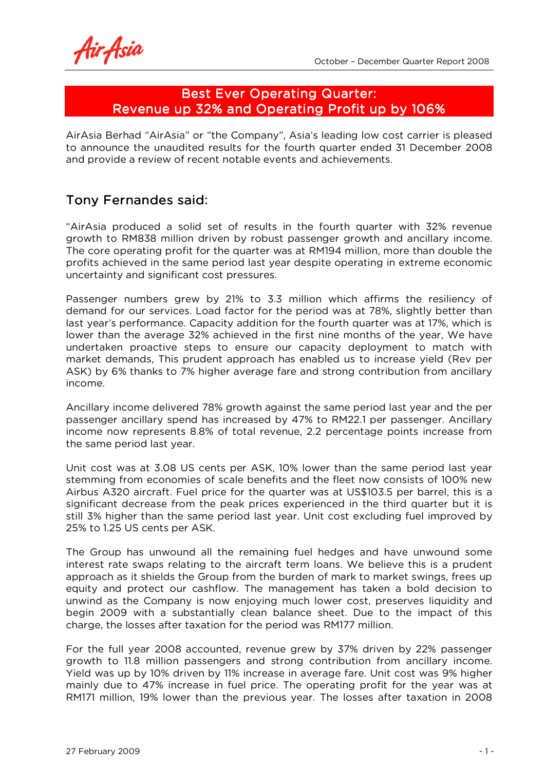Air<sub>t</sub>Asia

## Best Ever Operating Quarter: Revenue up 32% and Operating Profit up by 106%

AirAsia Berhad "AirAsia" or "the Company", Asia's leading low cost carrier is pleased to announce the unaudited results for the fourth quarter ended 31 December 2008 and provide a review of recent notable events and achievements.

# Tony Fernandes said:

"AirAsia produced a solid set of results in the fourth quarter with 32% revenue growth to RM838 million driven by robust passenger growth and ancillary income. The core operating profit for the quarter was at RM194 million, more than double the profits achieved in the same period last year despite operating in extreme economic uncertainty and significant cost pressures.

Passenger numbers grew by 21% to 3.3 million which affirms the resiliency of demand for our services. Load factor for the period was at 78%, slightly better than last year's performance. Capacity addition for the fourth quarter was at 17%, which is lower than the average 32% achieved in the first nine months of the year, We have undertaken proactive steps to ensure our capacity deployment to match with market demands, This prudent approach has enabled us to increase yield (Rev per ASK) by 6% thanks to 7% higher average fare and strong contribution from ancillary income.

Ancillary income delivered 78% growth against the same period last year and the per passenger ancillary spend has increased by 47% to RM22.1 per passenger. Ancillary income now represents 8.8% of total revenue, 2.2 percentage points increase from the same period last year.

Unit cost was at 3.08 US cents per ASK, 10% lower than the same period last year stemming from economies of scale benefits and the fleet now consists of 100% new Airbus A320 aircraft. Fuel price for the quarter was at US\$103.5 per barrel, this is a significant decrease from the peak prices experienced in the third quarter but it is still 3% higher than the same period last year. Unit cost excluding fuel improved by 25% to 1.25 US cents per ASK.

The Group has unwound all the remaining fuel hedges and have unwound some interest rate swaps relating to the aircraft term loans. We believe this is a prudent approach as it shields the Group from the burden of mark to market swings, frees up equity and protect our cashflow. The management has taken a bold decision to unwind as the Company is now enjoying much lower cost, preserves liquidity and begin 2009 with a substantially clean balance sheet. Due to the impact of this charge, the losses after taxation for the period was RM177 million.

For the full year 2008 accounted, revenue grew by 37% driven by 22% passenger growth to 11.8 million passengers and strong contribution from ancillary income. Yield was up by 10% driven by 11% increase in average fare. Unit cost was 9% higher mainly due to 47% increase in fuel price. The operating profit for the year was at RM171 million, 19% lower than the previous year. The losses after taxation in 2008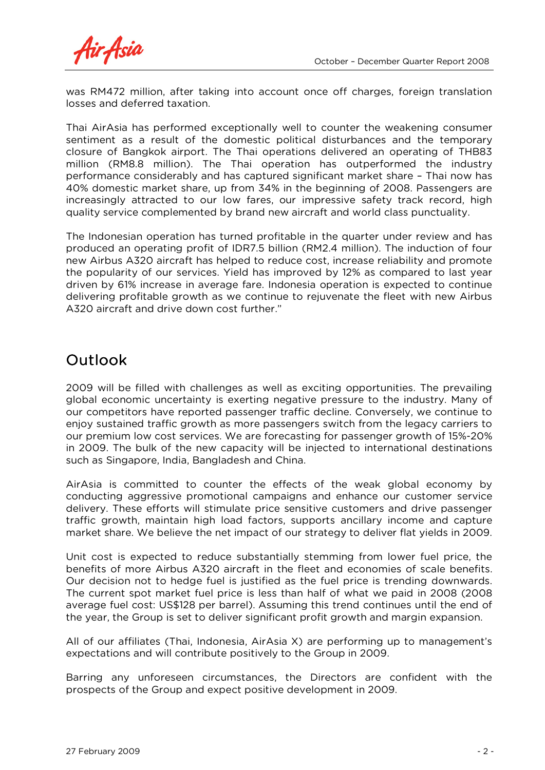Air Asia

was RM472 million, after taking into account once off charges, foreign translation losses and deferred taxation.

Thai AirAsia has performed exceptionally well to counter the weakening consumer sentiment as a result of the domestic political disturbances and the temporary closure of Bangkok airport. The Thai operations delivered an operating of THB83 million (RM8.8 million). The Thai operation has outperformed the industry performance considerably and has captured significant market share – Thai now has 40% domestic market share, up from 34% in the beginning of 2008. Passengers are increasingly attracted to our low fares, our impressive safety track record, high quality service complemented by brand new aircraft and world class punctuality.

The Indonesian operation has turned profitable in the quarter under review and has produced an operating profit of IDR7.5 billion (RM2.4 million). The induction of four new Airbus A320 aircraft has helped to reduce cost, increase reliability and promote the popularity of our services. Yield has improved by 12% as compared to last year driven by 61% increase in average fare. Indonesia operation is expected to continue delivering profitable growth as we continue to rejuvenate the fleet with new Airbus A320 aircraft and drive down cost further."

# **Outlook**

2009 will be filled with challenges as well as exciting opportunities. The prevailing global economic uncertainty is exerting negative pressure to the industry. Many of our competitors have reported passenger traffic decline. Conversely, we continue to enjoy sustained traffic growth as more passengers switch from the legacy carriers to our premium low cost services. We are forecasting for passenger growth of 15%-20% in 2009. The bulk of the new capacity will be injected to international destinations such as Singapore, India, Bangladesh and China.

AirAsia is committed to counter the effects of the weak global economy by conducting aggressive promotional campaigns and enhance our customer service delivery. These efforts will stimulate price sensitive customers and drive passenger traffic growth, maintain high load factors, supports ancillary income and capture market share. We believe the net impact of our strategy to deliver flat yields in 2009.

Unit cost is expected to reduce substantially stemming from lower fuel price, the benefits of more Airbus A320 aircraft in the fleet and economies of scale benefits. Our decision not to hedge fuel is justified as the fuel price is trending downwards. The current spot market fuel price is less than half of what we paid in 2008 (2008 average fuel cost: US\$128 per barrel). Assuming this trend continues until the end of the year, the Group is set to deliver significant profit growth and margin expansion.

All of our affiliates (Thai, Indonesia, AirAsia X) are performing up to management's expectations and will contribute positively to the Group in 2009.

Barring any unforeseen circumstances, the Directors are confident with the prospects of the Group and expect positive development in 2009.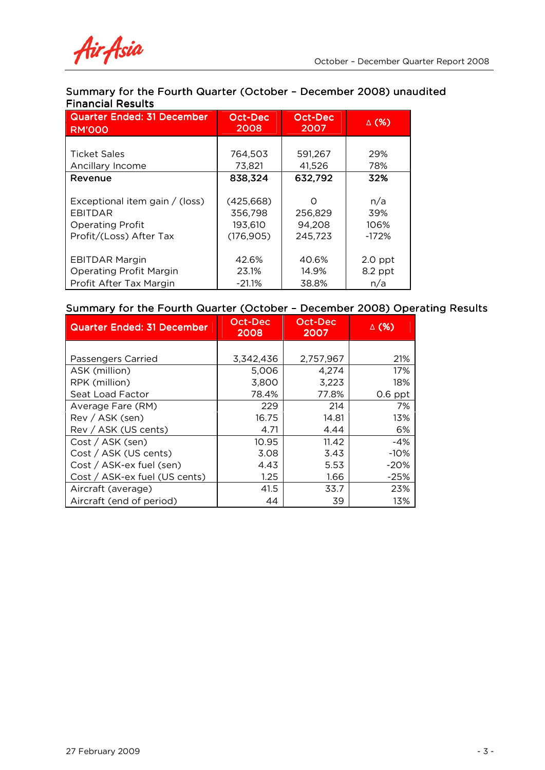### Summary for the Fourth Quarter (October - December 2008) unaudited Financial Results

| <b>Quarter Ended: 31 December</b> | Oct-Dec    | Oct-Dec | $\Delta$ (%) |
|-----------------------------------|------------|---------|--------------|
| <b>RM'000</b>                     | 2008       | 2007    |              |
| <b>Ticket Sales</b>               | 764,503    | 591,267 | 29%          |
| Ancillary Income                  | 73,821     | 41,526  | 78%          |
| Revenue                           | 838.324    | 632,792 | 32%          |
| Exceptional item gain / (loss)    | (425, 668) | ∩       | n/a          |
| <b>EBITDAR</b>                    | 356,798    | 256.829 | 39%          |
| <b>Operating Profit</b>           | 193,610    | 94,208  | 106%         |
| Profit/(Loss) After Tax           | (176, 905) | 245,723 | $-172%$      |
| <b>EBITDAR Margin</b>             | 42.6%      | 40.6%   | $2.0$ ppt    |
| <b>Operating Profit Margin</b>    | 23.1%      | 14.9%   | 8.2 ppt      |
| Profit After Tax Margin           | $-21.1%$   | 38.8%   | n/a          |

#### Summary for the Fourth Quarter (October - December 2008) Operating Results

| <b>Quarter Ended: 31 December</b> | <b>Oct-Dec</b><br>2008 | Oct-Dec<br>2007 | $\triangle$ (%) |
|-----------------------------------|------------------------|-----------------|-----------------|
|                                   |                        |                 |                 |
| Passengers Carried                | 3,342,436              | 2,757,967       | 21%             |
| ASK (million)                     | 5,006                  | 4,274           | 17%             |
| RPK (million)                     | 3,800                  | 3,223           | 18%             |
| Seat Load Factor                  | 78.4%                  | 77.8%           | $0.6$ ppt       |
| Average Fare (RM)                 | 229                    | 214             | 7%              |
| Rev / ASK (sen)                   | 16.75                  | 14.81           | 13%             |
| Rev / ASK (US cents)              | 4.71                   | 4.44            | 6%              |
| Cost / ASK (sen)                  | 10.95                  | 11.42           | -4%             |
| Cost / ASK (US cents)             | 3.08                   | 3.43            | $-10%$          |
| Cost / ASK-ex fuel (sen)          | 4.43                   | 5.53            | $-20%$          |
| Cost / ASK-ex fuel (US cents)     | 1.25                   | 1.66            | $-25%$          |
| Aircraft (average)                | 41.5                   | 33.7            | 23%             |
| Aircraft (end of period)          | 44                     | 39              | 13%             |